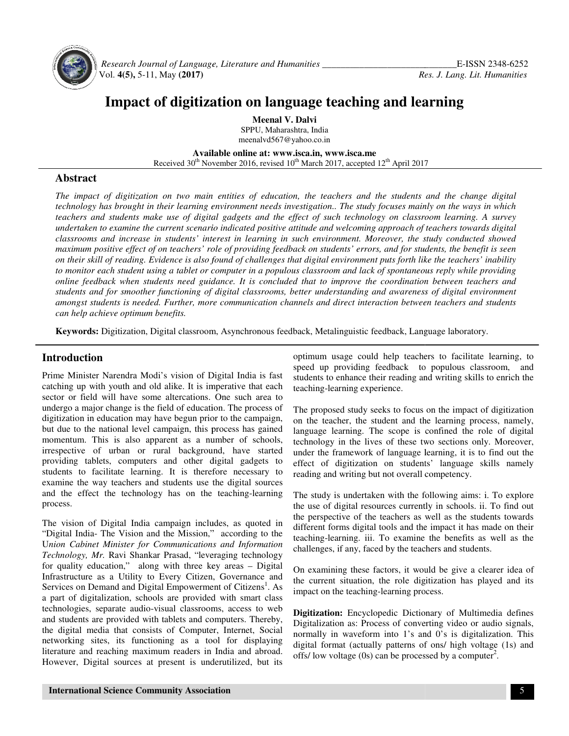

 *Research Journal of Language, Language, Literature and Humanities \_\_\_\_\_\_\_\_\_\_\_\_\_\_\_\_\_\_\_\_\_\_\_\_\_\_\_\_\_* Vol. **4(5),** 5-11, May **(2017)**

# Impact of digitization on language teaching and learning

**Meenal V. Dalvi**  SPPU, Maharashtra, India meenalvd567@yahoo.co.in

**Available Available online at: www.isca.in, www.isca.me** Received 30<sup>th</sup> November 2016, revised 10<sup>th</sup> March 2017, accepted 12<sup>th</sup> April 2017

### **Abstract**

*The impact of digitization on two main entities of education, the teachers and the students and the change digital technology has brought in their learning environment needs investigation.. The study focuses mainly on the ways in which teachers and students make use of digital gadgets and the effect of such technology on classroom learning. A survey undertaken to examine the current scenario indicate classrooms and increase in students' interest in learning in such environment. Moreover, the study conducted showed*  classrooms and increase in students' interest in learning in such environment. Moreover, the study conducted showed<br>maximum positive effect of on teachers' role of providing feedback on students' errors, and for students, *on their skill of reading. Evidence is also found of challenges that digital environment puts forth like the teachers' inabil* on their skill of reading. Evidence is also found of challenges that digital environment puts forth like the teachers' inability<br>to monitor each student using a tablet or computer in a populous classroom and lack of sponta to monitor each student using a tablet or computer in a populous classroom and lack of spontaneous reply while providing<br>online feedback when students need guidance. It is concluded that to improve the coordination between *students and for smoother functioning of digital classrooms, better understanding and awar* amongst students is needed. Further, more communication channels and direct interaction between teachers and students *can help achieve optimum benefits. impact of digitization on two main entities of education, the teachers and the students and the change digital*<br>*iology has brought in their learning environment needs investigation.. The study focuses mainly on the ways d positive attitude and welcoming approach of teachers towards digital earning in such environment. Moreover, the study conducted showed iding feedback on students' errors, and for students, the benefit is seen hallenge* 

Keywords: Digitization, Digital classroom, Asynchronous feedback, Metalinguistic feedback, Language laboratory.

### **Introduction**

Prime Minister Narendra Modi's vision of Digital India is fast catching up with youth and old alike. It is imperative that each sector or field will have some altercations. One such area to undergo a major change is the field of education. The process of digitization in education may have begun prior to the campaign, but due to the national level campaign, this process has gained momentum. This is also apparent as a number of schools, irrespective of urban or rural background, have started providing tablets, computers and other digital students to facilitate learning. It is therefore necessary to examine the way teachers and students use the digital sources and the effect the technology has on the teaching-learning process. sector or field will have some altercations. One such area to undergo a major change is the field of education. The process of digitization in education may have begun prior to the campaign, but due to the national level c It is therefore necessary to y teachers and students use the digital sources the technology has on the teaching-learning

The vision of Digital India campaign includes, as quoted in "Digital India- The Vision and the Mission," according to the U*nion Cabinet Minister for Communications and Information Technology, Mr.* Ravi Shankar Prasad, "leveraging technology "Digital India- The Vision and the Mission," according to the Union Cabinet Minister for Communications and Information Technology, Mr. Ravi Shankar Prasad, "leveraging technology for quality education," along with three k Infrastructure as a Utility to Every Citizen, Governance and Infrastructure as a Utility to Every Citizen, Governance and Services on Demand and Digital Empowerment of Citizens<sup>1</sup>. As a part of digitalization, schools are provided with smart class technologies, separate audio-visual classrooms, access to web and students are provided with tablets and computers. the digital media that consists of Computer, Internet, Social networking sites, its functioning as a tool for displaying literature and reaching maximum readers in India and abroad. However, Digital sources at present is underutilized, but its zation, schools are provided with smart class<br>varate audio-visual classrooms, access to web<br>provided with tablets and computers. Thereby, of the teachers of the teachers of the teachers of Chielia learning, to optimum usage could help teachers to facilitate learning and of dalike. It is imperative that each teaching-learning experience.<br>Some altercations. On

speed up providing feedback to populous classroom, and students to enhance their reading and writing skills to enrich the teaching-learning experience.

The proposed study seeks to focus on the impact of digitization on the teacher, the student and the learning process, namely, language learning. The scope is confined the role of digital technology in the lives of these two sections only. Moreover, under the framework of language learning, it is to find out the effect of digitization on students' language skills namely reading and writing but not overall competency. optimum usage could help teachers to facilitate learning, to<br>speed up providing feedback to populous classroom, and<br>students to enhance their reading and writing skills to enrich the<br>teaching-learning experience.<br>The propo

The study is undertaken with the following aims: i. To explore the use of digital resources currently in schools. ii. To find out the perspective of the teachers as well as the students towards different forms digital tools and the impact it has made on their teaching-learning. iii. To examine the benefits as well as the challenges, if any, faced by the teachers and students.

On examining these factors, it would be give a clearer idea of the current situation, the role digitization has played and its impact on the teaching-learning process.

**Digitization:** Encyclopedic Dictionary of Multimedia d Digitalization as: Process of converting video or audio signals, normally in waveform into 1's and 0's is digitalization. This normally in waveform into 1's and 0's is digitalization. This digital format (actually patterns of ons/ high voltage (1s) and  $\frac{f(s)}{g}$  and  $\frac{f(s)}{g}$  and  $\frac{f(s)}{g}$  and  $\frac{f(s)}{g}$  and  $\frac{f(s)}{g}$  and  $\frac{f(s)}{g}$  and offs/ low voltage (0s) can be processed by a computer .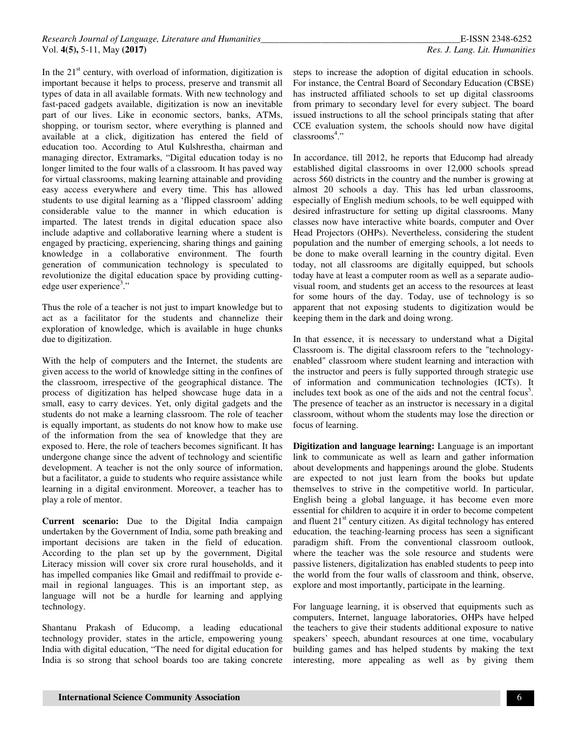In the  $21<sup>st</sup>$  century, with overload of information, digitization is important because it helps to process, preserve and transmit all types of data in all available formats. With new technology and fast-paced gadgets available, digitization is now an inevitable part of our lives. Like in economic sectors, banks, ATMs, shopping, or tourism sector, where everything is planned and available at a click, digitization has entered the field of education too. According to Atul Kulshrestha, chairman and managing director, Extramarks, "Digital education today is no longer limited to the four walls of a classroom. It has paved way for virtual classrooms, making learning attainable and providing easy access everywhere and every time. This has allowed students to use digital learning as a 'flipped classroom' adding considerable value to the manner in which education is imparted. The latest trends in digital education space also include adaptive and collaborative learning where a student is engaged by practicing, experiencing, sharing things and gaining knowledge in a collaborative environment. The fourth generation of communication technology is speculated to revolutionize the digital education space by providing cuttingedge user experience<sup>3</sup>."

Thus the role of a teacher is not just to impart knowledge but to act as a facilitator for the students and channelize their exploration of knowledge, which is available in huge chunks due to digitization.

With the help of computers and the Internet, the students are given access to the world of knowledge sitting in the confines of the classroom, irrespective of the geographical distance. The process of digitization has helped showcase huge data in a small, easy to carry devices. Yet, only digital gadgets and the students do not make a learning classroom. The role of teacher is equally important, as students do not know how to make use of the information from the sea of knowledge that they are exposed to. Here, the role of teachers becomes significant. It has undergone change since the advent of technology and scientific development. A teacher is not the only source of information, but a facilitator, a guide to students who require assistance while learning in a digital environment. Moreover, a teacher has to play a role of mentor.

**Current scenario:** Due to the Digital India campaign undertaken by the Government of India, some path breaking and important decisions are taken in the field of education. According to the plan set up by the government, Digital Literacy mission will cover six crore rural households, and it has impelled companies like Gmail and rediffmail to provide email in regional languages. This is an important step, as language will not be a hurdle for learning and applying technology.

Shantanu Prakash of Educomp, a leading educational technology provider, states in the article, empowering young India with digital education, "The need for digital education for India is so strong that school boards too are taking concrete steps to increase the adoption of digital education in schools. For instance, the Central Board of Secondary Education (CBSE) has instructed affiliated schools to set up digital classrooms from primary to secondary level for every subject. The board issued instructions to all the school principals stating that after CCE evaluation system, the schools should now have digital classrooms<sup>4</sup>."

In accordance, till 2012, he reports that Educomp had already established digital classrooms in over 12,000 schools spread across 560 districts in the country and the number is growing at almost 20 schools a day. This has led urban classrooms, especially of English medium schools, to be well equipped with desired infrastructure for setting up digital classrooms. Many classes now have interactive white boards, computer and Over Head Projectors (OHPs). Nevertheless, considering the student population and the number of emerging schools, a lot needs to be done to make overall learning in the country digital. Even today, not all classrooms are digitally equipped, but schools today have at least a computer room as well as a separate audiovisual room, and students get an access to the resources at least for some hours of the day. Today, use of technology is so apparent that not exposing students to digitization would be keeping them in the dark and doing wrong.

In that essence, it is necessary to understand what a Digital Classroom is. The digital classroom refers to the "technologyenabled" classroom where student learning and interaction with the instructor and peers is fully supported through strategic use of information and communication technologies (ICTs). It includes text book as one of the aids and not the central focus<sup>5</sup>. The presence of teacher as an instructor is necessary in a digital classroom, without whom the students may lose the direction or focus of learning.

**Digitization and language learning:** Language is an important link to communicate as well as learn and gather information about developments and happenings around the globe. Students are expected to not just learn from the books but update themselves to strive in the competitive world. In particular, English being a global language, it has become even more essential for children to acquire it in order to become competent and fluent 21<sup>st</sup> century citizen. As digital technology has entered education, the teaching-learning process has seen a significant paradigm shift. From the conventional classroom outlook, where the teacher was the sole resource and students were passive listeners, digitalization has enabled students to peep into the world from the four walls of classroom and think, observe, explore and most importantly, participate in the learning.

For language learning, it is observed that equipments such as computers, Internet, language laboratories, OHPs have helped the teachers to give their students additional exposure to native speakers' speech, abundant resources at one time, vocabulary building games and has helped students by making the text interesting, more appealing as well as by giving them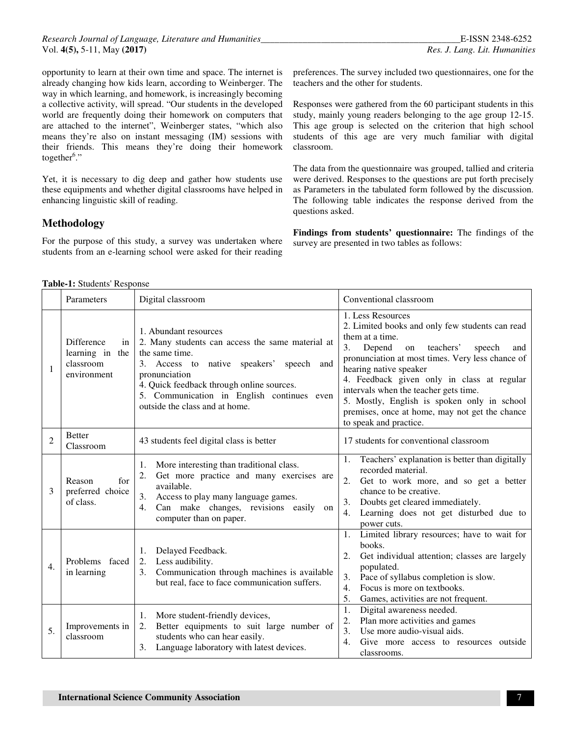*Research Journal of Language, Literature and Humanities\_\_\_\_\_\_\_\_\_\_\_\_\_\_\_\_\_\_\_\_\_\_\_\_\_\_\_\_\_\_\_\_\_\_\_\_\_\_\_\_\_\_\_*E-ISSN 2348-6252 Vol. **4(5),** 5-11, May **(2017)** *Res. J. Lang. Lit. Humanities*

opportunity to learn at their own time and space. The internet is already changing how kids learn, according to Weinberger. The way in which learning, and homework, is increasingly becoming a collective activity, will spread. "Our students in the developed world are frequently doing their homework on computers that are attached to the internet", Weinberger states, "which also means they're also on instant messaging (IM) sessions with their friends. This means they're doing their homework together<sup>6</sup>."

Yet, it is necessary to dig deep and gather how students use these equipments and whether digital classrooms have helped in enhancing linguistic skill of reading.

## **Methodology**

For the purpose of this study, a survey was undertaken where students from an e-learning school were asked for their reading

preferences. The survey included two questionnaires, one for the teachers and the other for students.

Responses were gathered from the 60 participant students in this study, mainly young readers belonging to the age group 12-15. This age group is selected on the criterion that high school students of this age are very much familiar with digital classroom.

The data from the questionnaire was grouped, tallied and criteria were derived. Responses to the questions are put forth precisely as Parameters in the tabulated form followed by the discussion. The following table indicates the response derived from the questions asked.

**Findings from students' questionnaire:** The findings of the survey are presented in two tables as follows:

#### **Table-1:** Students' Response

|                             | Parameters                                                             | Digital classroom                                                                                                                                                                                                                                                                        | Conventional classroom                                                                                                                                                                                                                                                                                                                                                                                                                      |
|-----------------------------|------------------------------------------------------------------------|------------------------------------------------------------------------------------------------------------------------------------------------------------------------------------------------------------------------------------------------------------------------------------------|---------------------------------------------------------------------------------------------------------------------------------------------------------------------------------------------------------------------------------------------------------------------------------------------------------------------------------------------------------------------------------------------------------------------------------------------|
| $\mathbf{1}$                | <b>Difference</b><br>in<br>learning in the<br>classroom<br>environment | 1. Abundant resources<br>2. Many students can access the same material at<br>the same time.<br>3. Access to native speakers' speech<br>and<br>pronunciation<br>4. Quick feedback through online sources.<br>5. Communication in English continues even<br>outside the class and at home. | 1. Less Resources<br>2. Limited books and only few students can read<br>them at a time.<br>3.<br>Depend<br>teachers'<br>on<br>speech<br>and<br>pronunciation at most times. Very less chance of<br>hearing native speaker<br>4. Feedback given only in class at regular<br>intervals when the teacher gets time.<br>5. Mostly, English is spoken only in school<br>premises, once at home, may not get the chance<br>to speak and practice. |
| $\mathcal{D}_{\mathcal{L}}$ | <b>Better</b><br>Classroom                                             | 43 students feel digital class is better                                                                                                                                                                                                                                                 | 17 students for conventional classroom                                                                                                                                                                                                                                                                                                                                                                                                      |
| 3                           | Reason<br>for<br>preferred choice<br>of class.                         | More interesting than traditional class.<br>1.<br>Get more practice and many exercises are<br>available.<br>Access to play many language games.<br>3.<br>Can make changes, revisions easily on<br>4.<br>computer than on paper.                                                          | Teachers' explanation is better than digitally<br>1.<br>recorded material.<br>2.<br>Get to work more, and so get a better<br>chance to be creative.<br>Doubts get cleared immediately.<br>3.<br>Learning does not get disturbed due to<br>4.<br>power cuts.                                                                                                                                                                                 |
| $\overline{4}$ .            | Problems faced<br>in learning                                          | Delayed Feedback.<br>1.<br>Less audibility.<br>2.<br>Communication through machines is available<br>3.<br>but real, face to face communication suffers.                                                                                                                                  | 1. Limited library resources; have to wait for<br>books.<br>Get individual attention; classes are largely<br>2.<br>populated.<br>Pace of syllabus completion is slow.<br>3.<br>Focus is more on textbooks.<br>4.<br>5.<br>Games, activities are not frequent.                                                                                                                                                                               |
| 5.                          | Improvements in<br>classroom                                           | More student-friendly devices,<br>1.<br>Better equipments to suit large number of<br>2.<br>students who can hear easily.<br>3. Language laboratory with latest devices.                                                                                                                  | 1.<br>Digital awareness needed.<br>Plan more activities and games<br>2.<br>Use more audio-visual aids.<br>3.<br>Give more access to resources outside<br>4.<br>classrooms.                                                                                                                                                                                                                                                                  |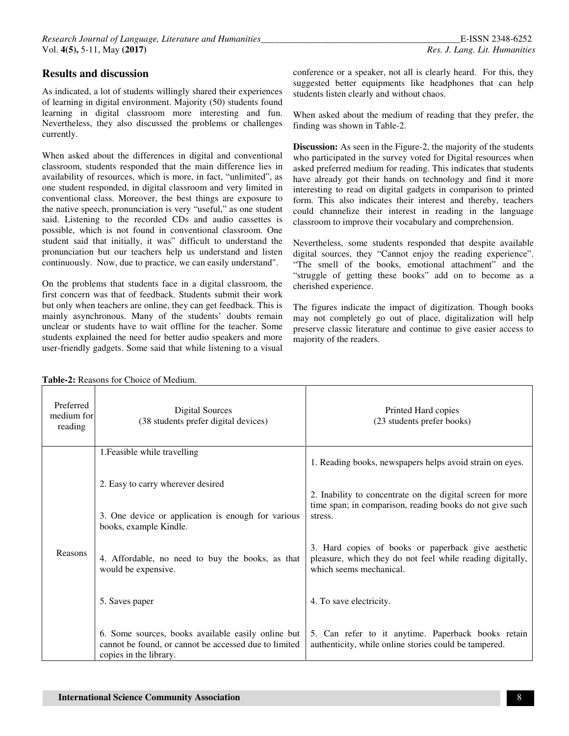As indicated, a lot of students willingly shared their experiences of learning in digital environment. Majority (50) students found learning in digital classroom more interesting and fun. Nevertheless, they also discussed the problems or challenges currently.

When asked about the differences in digital and conventional classroom, students responded that the main difference lies in availability of resources, which is more, in fact, "unlimited", as one student responded, in digital classroom and very limited in conventional class. Moreover, the best things are exposure to the native speech, pronunciation is very "useful," as one student said. Listening to the recorded CDs and audio cassettes is possible, which is not found in conventional classroom. One student said that initially, it was" difficult to understand the pronunciation but our teachers help us understand and listen continuously. Now, due to practice, we can easily understand".

On the problems that students face in a digital classroom, the first concern was that of feedback. Students submit their work but only when teachers are online, they can get feedback. This is mainly asynchronous. Many of the students' doubts remain unclear or students have to wait offline for the teacher. Some students explained the need for better audio speakers and more user-friendly gadgets. Some said that while listening to a visual conference or a speaker, not all is clearly heard. For this, they suggested better equipments like headphones that can help students listen clearly and without chaos.

When asked about the medium of reading that they prefer, the finding was shown in Table-2.

**Discussion:** As seen in the Figure-2, the majority of the students who participated in the survey voted for Digital resources when asked preferred medium for reading. This indicates that students have already got their hands on technology and find it more interesting to read on digital gadgets in comparison to printed form. This also indicates their interest and thereby, teachers could channelize their interest in reading in the language classroom to improve their vocabulary and comprehension.

Nevertheless, some students responded that despite available digital sources, they "Cannot enjoy the reading experience". "The smell of the books, emotional attachment" and the "struggle of getting these books" add on to become as a cherished experience.

The figures indicate the impact of digitization. Though books may not completely go out of place, digitalization will help preserve classic literature and continue to give easier access to majority of the readers.

| Preferred<br>medium for<br>reading | Digital Sources<br>(38 students prefer digital devices)                                                                               | Printed Hard copies<br>(23 students prefer books)                                                                                           |  |  |
|------------------------------------|---------------------------------------------------------------------------------------------------------------------------------------|---------------------------------------------------------------------------------------------------------------------------------------------|--|--|
|                                    | 1. Feasible while travelling                                                                                                          |                                                                                                                                             |  |  |
|                                    |                                                                                                                                       | 1. Reading books, newspapers helps avoid strain on eyes.                                                                                    |  |  |
|                                    | 2. Easy to carry wherever desired                                                                                                     | 2. Inability to concentrate on the digital screen for more<br>time span; in comparison, reading books do not give such                      |  |  |
|                                    | 3. One device or application is enough for various<br>books, example Kindle.                                                          | stress.                                                                                                                                     |  |  |
| Reasons                            | 4. Affordable, no need to buy the books, as that<br>would be expensive.                                                               | 3. Hard copies of books or paperback give aesthetic<br>pleasure, which they do not feel while reading digitally,<br>which seems mechanical. |  |  |
|                                    | 5. Saves paper                                                                                                                        | 4. To save electricity.                                                                                                                     |  |  |
|                                    | 6. Some sources, books available easily online but<br>cannot be found, or cannot be accessed due to limited<br>copies in the library. | 5. Can refer to it anytime. Paperback books retain<br>authenticity, while online stories could be tampered.                                 |  |  |

**Table-2:** Reasons for Choice of Medium.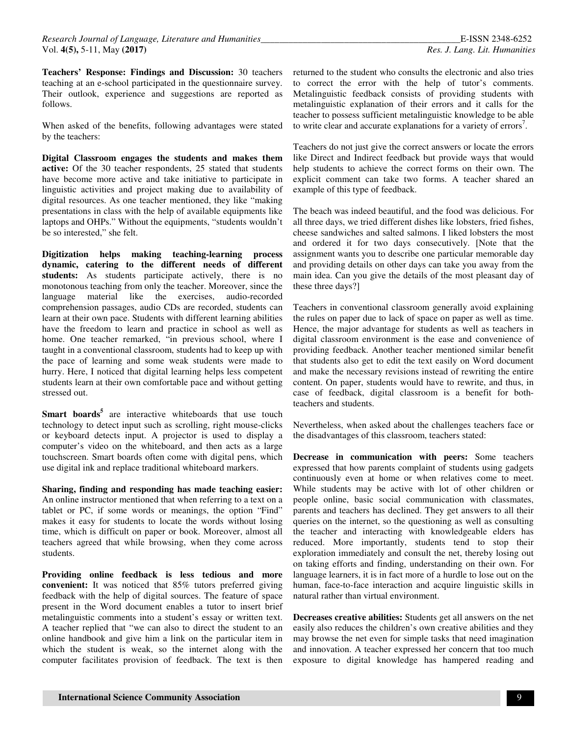**Teachers' Response: Findings and Discussion:** 30 teachers teaching at an e-school participated in the questionnaire survey. Their outlook, experience and suggestions are reported as follows.

When asked of the benefits, following advantages were stated by the teachers:

**Digital Classroom engages the students and makes them active:** Of the 30 teacher respondents, 25 stated that students have become more active and take initiative to participate in linguistic activities and project making due to availability of digital resources. As one teacher mentioned, they like "making presentations in class with the help of available equipments like laptops and OHPs." Without the equipments, "students wouldn't be so interested," she felt.

**Digitization helps making teaching-learning process dynamic, catering to the different needs of different**  students: As students participate actively, there is no monotonous teaching from only the teacher. Moreover, since the language material like the exercises, audio-recorded comprehension passages, audio CDs are recorded, students can learn at their own pace. Students with different learning abilities have the freedom to learn and practice in school as well as home. One teacher remarked, "in previous school, where I taught in a conventional classroom, students had to keep up with the pace of learning and some weak students were made to hurry. Here, I noticed that digital learning helps less competent students learn at their own comfortable pace and without getting stressed out.

**Smart boards<sup>5</sup>** are interactive whiteboards that use touch technology to detect input such as scrolling, right mouse-clicks or keyboard detects input. A projector is used to display a computer's video on the whiteboard, and then acts as a large touchscreen. Smart boards often come with digital pens, which use digital ink and replace traditional whiteboard markers.

**Sharing, finding and responding has made teaching easier:**  An online instructor mentioned that when referring to a text on a tablet or PC, if some words or meanings, the option "Find" makes it easy for students to locate the words without losing time, which is difficult on paper or book. Moreover, almost all teachers agreed that while browsing, when they come across students.

**Providing online feedback is less tedious and more convenient:** It was noticed that 85% tutors preferred giving feedback with the help of digital sources. The feature of space present in the Word document enables a tutor to insert brief metalinguistic comments into a student's essay or written text. A teacher replied that "we can also to direct the student to an online handbook and give him a link on the particular item in which the student is weak, so the internet along with the computer facilitates provision of feedback. The text is then

returned to the student who consults the electronic and also tries to correct the error with the help of tutor's comments. Metalinguistic feedback consists of providing students with metalinguistic explanation of their errors and it calls for the teacher to possess sufficient metalinguistic knowledge to be able to write clear and accurate explanations for a variety of errors<sup>7</sup>.

Teachers do not just give the correct answers or locate the errors like Direct and Indirect feedback but provide ways that would help students to achieve the correct forms on their own. The explicit comment can take two forms. A teacher shared an example of this type of feedback.

The beach was indeed beautiful, and the food was delicious. For all three days, we tried different dishes like lobsters, fried fishes, cheese sandwiches and salted salmons. I liked lobsters the most and ordered it for two days consecutively. [Note that the assignment wants you to describe one particular memorable day and providing details on other days can take you away from the main idea. Can you give the details of the most pleasant day of these three days?]

Teachers in conventional classroom generally avoid explaining the rules on paper due to lack of space on paper as well as time. Hence, the major advantage for students as well as teachers in digital classroom environment is the ease and convenience of providing feedback. Another teacher mentioned similar benefit that students also get to edit the text easily on Word document and make the necessary revisions instead of rewriting the entire content. On paper, students would have to rewrite, and thus, in case of feedback, digital classroom is a benefit for bothteachers and students.

Nevertheless, when asked about the challenges teachers face or the disadvantages of this classroom, teachers stated:

**Decrease in communication with peers:** Some teachers expressed that how parents complaint of students using gadgets continuously even at home or when relatives come to meet. While students may be active with lot of other children or people online, basic social communication with classmates, parents and teachers has declined. They get answers to all their queries on the internet, so the questioning as well as consulting the teacher and interacting with knowledgeable elders has reduced. More importantly, students tend to stop their exploration immediately and consult the net, thereby losing out on taking efforts and finding, understanding on their own. For language learners, it is in fact more of a hurdle to lose out on the human, face-to-face interaction and acquire linguistic skills in natural rather than virtual environment.

**Decreases creative abilities:** Students get all answers on the net easily also reduces the children's own creative abilities and they may browse the net even for simple tasks that need imagination and innovation. A teacher expressed her concern that too much exposure to digital knowledge has hampered reading and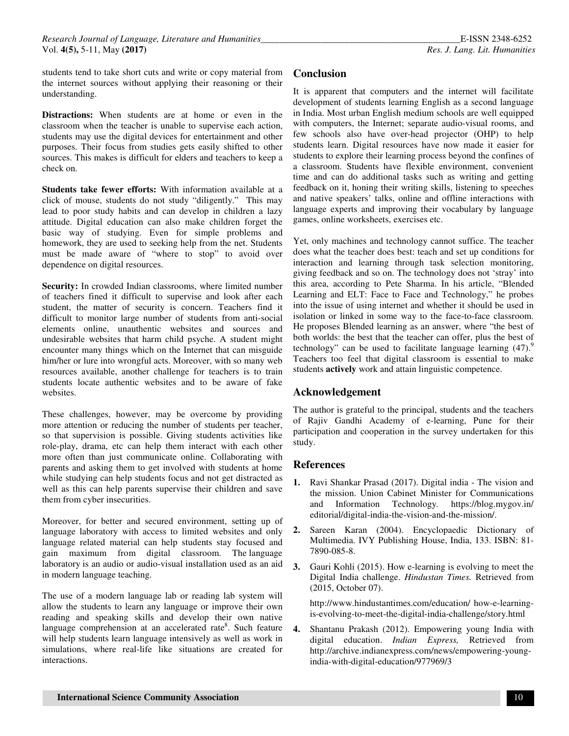students tend to take short cuts and write or copy material from the internet sources without applying their reasoning or their understanding.

**Distractions:** When students are at home or even in the classroom when the teacher is unable to supervise each action, students may use the digital devices for entertainment and other purposes. Their focus from studies gets easily shifted to other sources. This makes is difficult for elders and teachers to keep a check on.

**Students take fewer efforts:** With information available at a click of mouse, students do not study "diligently." This may lead to poor study habits and can develop in children a lazy attitude. Digital education can also make children forget the basic way of studying. Even for simple problems and homework, they are used to seeking help from the net. Students must be made aware of "where to stop" to avoid over dependence on digital resources.

**Security:** In crowded Indian classrooms, where limited number of teachers fined it difficult to supervise and look after each student, the matter of security is concern. Teachers find it difficult to monitor large number of students from anti-social elements online, unauthentic websites and sources and undesirable websites that harm child psyche. A student might encounter many things which on the Internet that can misguide him/her or lure into wrongful acts. Moreover, with so many web resources available, another challenge for teachers is to train students locate authentic websites and to be aware of fake websites.

These challenges, however, may be overcome by providing more attention or reducing the number of students per teacher, so that supervision is possible. Giving students activities like role-play, drama, etc can help them interact with each other more often than just communicate online. Collaborating with parents and asking them to get involved with students at home while studying can help students focus and not get distracted as well as this can help parents supervise their children and save them from cyber insecurities.

Moreover, for better and secured environment, setting up of language laboratory with access to limited websites and only language related material can help students stay focused and gain maximum from digital classroom. The language laboratory is an audio or audio-visual installation used as an aid in modern language teaching.

The use of a modern language lab or reading lab system will allow the students to learn any language or improve their own reading and speaking skills and develop their own native language comprehension at an accelerated rate<sup>8</sup>. Such feature will help students learn language intensively as well as work in simulations, where real-life like situations are created for interactions.

# **Conclusion**

It is apparent that computers and the internet will facilitate development of students learning English as a second language in India. Most urban English medium schools are well equipped with computers, the Internet; separate audio-visual rooms, and few schools also have over-head projector (OHP) to help students learn. Digital resources have now made it easier for students to explore their learning process beyond the confines of a classroom. Students have flexible environment, convenient time and can do additional tasks such as writing and getting feedback on it, honing their writing skills, listening to speeches and native speakers' talks, online and offline interactions with language experts and improving their vocabulary by language games, online worksheets, exercises etc.

Yet, only machines and technology cannot suffice. The teacher does what the teacher does best: teach and set up conditions for interaction and learning through task selection monitoring, giving feedback and so on. The technology does not 'stray' into this area, according to Pete Sharma. In his article, "Blended Learning and ELT: Face to Face and Technology," he probes into the issue of using internet and whether it should be used in isolation or linked in some way to the face-to-face classroom. He proposes Blended learning as an answer, where "the best of both worlds: the best that the teacher can offer, plus the best of technology" can be used to facilitate language learning  $(47)$ .<sup>9</sup> Teachers too feel that digital classroom is essential to make students **actively** work and attain linguistic competence.

### **Acknowledgement**

The author is grateful to the principal, students and the teachers of Rajiv Gandhi Academy of e-learning, Pune for their participation and cooperation in the survey undertaken for this study.

### **References**

- **1.** Ravi Shankar Prasad (2017). Digital india The vision and the mission. Union Cabinet Minister for Communications and Information Technology*.* https://blog.mygov.in/ editorial/digital-india-the-vision-and-the-mission/.
- **2.** Sareen Karan (2004). Encyclopaedic Dictionary of Multimedia. IVY Publishing House, India, 133. ISBN: 81- 7890-085-8.
- **3.** Gauri Kohli (2015). How e-learning is evolving to meet the Digital India challenge. *Hindustan Times.* Retrieved from (2015, October 07).

http://www.hindustantimes.com/education/ how-e-learningis-evolving-to-meet-the-digital-india-challenge/story.html

**4.** Shantanu Prakash (2012). Empowering young India with digital education. *Indian Express,* Retrieved from http://archive.indianexpress.com/news/empowering-youngindia-with-digital-education/977969/3